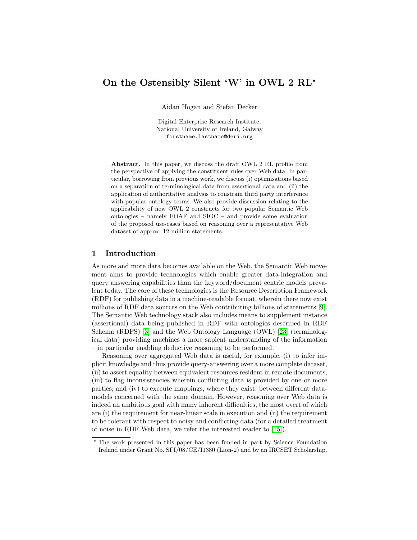# On the Ostensibly Silent 'W' in OWL 2 RL<sup>\*</sup>

Aidan Hogan and Stefan Decker

Digital Enterprise Research Institute, National University of Ireland, Galway firstname.lastname@deri.org

Abstract. In this paper, we discuss the draft OWL 2 RL profile from the perspective of applying the constituent rules over Web data. In particular, borrowing from previous work, we discuss (i) optimisations based on a separation of terminological data from assertional data and (ii) the application of authoritative analysis to constrain third party interference with popular ontology terms. We also provide discussion relating to the applicability of new OWL 2 constructs for two popular Semantic Web ontologies – namely FOAF and SIOC – and provide some evaluation of the proposed use-cases based on reasoning over a representative Web dataset of approx. 12 million statements.

### 1 Introduction

As more and more data becomes available on the Web, the Semantic Web movement aims to provide technologies which enable greater data-integration and query answering capabilities than the keyword/document centric models prevalent today. The core of these technologies is the Resource Description Framework (RDF) for publishing data in a machine-readable format, wherein there now exist millions of RDF data sources on the Web contributing billions of statements [\[9\]](#page-11-0). The Semantic Web technology stack also includes means to supplement instance (assertional) data being published in RDF with ontologies described in RDF Schema (RDFS) [\[3\]](#page-10-0) and the Web Ontology Language (OWL) [\[23\]](#page-11-1) (terminological data) providing machines a more sapient understanding of the information – in particular enabling deductive reasoning to be performed.

Reasoning over aggregated Web data is useful, for example, (i) to infer implicit knowledge and thus provide query-answering over a more complete dataset, (ii) to assert equality between equivalent resources resident in remote documents, (iii) to flag inconsistencies wherein conflicting data is provided by one or more parties; and (iv) to execute mappings, where they exist, between different datamodels concerned with the same domain. However, reasoning over Web data is indeed an ambitious goal with many inherent difficulties, the most overt of which are (i) the requirement for near-linear scale in execution and (ii) the requirement to be tolerant with respect to noisy and conflicting data (for a detailed treatment of noise in RDF Web data, we refer the interested reader to [\[15\]](#page-11-2)).

<sup>?</sup> The work presented in this paper has been funded in part by Science Foundation Ireland under Grant No. SFI/08/CE/I1380 (Lion-2) and by an IRCSET Scholarship.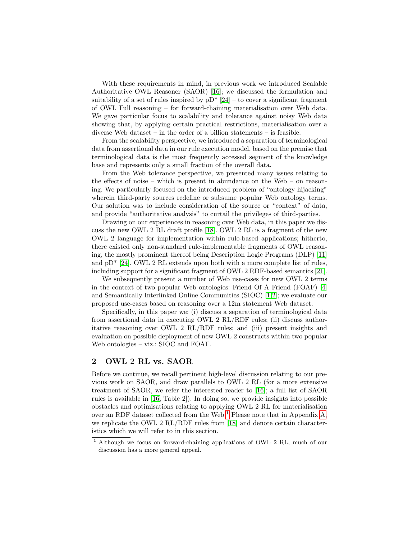With these requirements in mind, in previous work we introduced Scalable Authoritative OWL Reasoner (SAOR) [\[16\]](#page-11-3); we discussed the formulation and suitability of a set of rules inspired by  $pD^*$  [\[24\]](#page-11-4) – to cover a significant fragment of OWL Full reasoning – for forward-chaining materialisation over Web data. We gave particular focus to scalability and tolerance against noisy Web data showing that, by applying certain practical restrictions, materialisation over a diverse Web dataset – in the order of a billion statements – is feasible.

From the scalability perspective, we introduced a separation of terminological data from assertional data in our rule execution model, based on the premise that terminological data is the most frequently accessed segment of the knowledge base and represents only a small fraction of the overall data.

From the Web tolerance perspective, we presented many issues relating to the effects of noise – which is present in abundance on the Web – on reasoning. We particularly focused on the introduced problem of "ontology hijacking" wherein third-party sources redefine or subsume popular Web ontology terms. Our solution was to include consideration of the source or "context" of data, and provide "authoritative analysis" to curtail the privileges of third-parties.

Drawing on our experiences in reasoning over Web data, in this paper we discuss the new OWL 2 RL draft profile [\[18\]](#page-11-5). OWL 2 RL is a fragment of the new OWL 2 language for implementation within rule-based applications; hitherto, there existed only non-standard rule-implementable fragments of OWL reasoning, the mostly prominent thereof being Description Logic Programs (DLP) [\[11\]](#page-11-6) and  $pD^*$  [\[24\]](#page-11-4). OWL 2 RL extends upon both with a more complete list of rules, including support for a significant fragment of OWL 2 RDF-based semantics [\[21\]](#page-11-7).

We subsequently present a number of Web use-cases for new OWL 2 terms in the context of two popular Web ontologies: Friend Of A Friend (FOAF) [\[4\]](#page-10-1) and Semantically Interlinked Online Communities (SIOC) [\[1,](#page-10-2)[2\]](#page-10-3); we evaluate our proposed use-cases based on reasoning over a 12m statement Web dataset.

Specifically, in this paper we: (i) discuss a separation of terminological data from assertional data in executing OWL 2 RL/RDF rules; (ii) discuss authoritative reasoning over OWL 2 RL/RDF rules; and (iii) present insights and evaluation on possible deployment of new OWL 2 constructs within two popular Web ontologies – viz.: SIOC and FOAF.

## 2 OWL 2 RL vs. SAOR

Before we continue, we recall pertinent high-level discussion relating to our previous work on SAOR, and draw parallels to OWL 2 RL (for a more extensive treatment of SAOR, we refer the interested reader to [\[16\]](#page-11-3); a full list of SAOR rules is available in [\[16,](#page-11-3) Table 2]). In doing so, we provide insights into possible obstacles and optimisations relating to applying OWL 2 RL for materialisation over an RDF dataset collected from the Web.<sup>[1](#page-1-0)</sup> Please note that in Appendix [A,](#page-12-0) we replicate the OWL 2 RL/RDF rules from [\[18\]](#page-11-5) and denote certain characteristics which we will refer to in this section.

<span id="page-1-0"></span><sup>1</sup> Although we focus on forward-chaining applications of OWL 2 RL, much of our discussion has a more general appeal.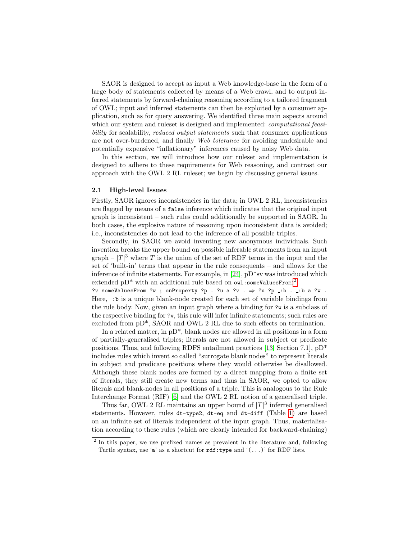SAOR is designed to accept as input a Web knowledge-base in the form of a large body of statements collected by means of a Web crawl, and to output inferred statements by forward-chaining reasoning according to a tailored fragment of OWL; input and inferred statements can then be exploited by a consumer application, such as for query answering. We identified three main aspects around which our system and rules is designed and implemented: *computational feasi*bility for scalability, reduced output statements such that consumer applications are not over-burdened, and finally Web tolerance for avoiding undesirable and potentially expensive "inflationary" inferences caused by noisy Web data.

In this section, we will introduce how our ruleset and implementation is designed to adhere to these requirements for Web reasoning, and contrast our approach with the OWL 2 RL ruleset; we begin by discussing general issues.

#### 2.1 High-level Issues

Firstly, SAOR ignores inconsistencies in the data; in OWL 2 RL, inconsistencies are flagged by means of a false inference which indicates that the original input graph is inconsistent – such rules could additionally be supported in SAOR. In both cases, the explosive nature of reasoning upon inconsistent data is avoided; i.e., inconsistencies do not lead to the inference of all possible triples.

Secondly, in SAOR we avoid inventing new anonymous individuals. Such invention breaks the upper bound on possible inferable statements from an input graph –  $|T|^3$  where T is the union of the set of RDF terms in the input and the set of 'built-in' terms that appear in the rule consequents – and allows for the inference of infinite statements. For example, in [\[24\]](#page-11-4), pD\*sv was introduced which extended pD\* with an additional rule based on  $\texttt{owl:someValuesFrom:}^2$  $\texttt{owl:someValuesFrom:}^2$ ?v someValuesFrom ?w ; onProperty ?p . ?u a ?v .  $\Rightarrow$  ?u ?p \_:b . \_:b a ?w .

Here,  $\Box$ : b is a unique blank-node created for each set of variable bindings from the rule body. Now, given an input graph where a binding for ?w is a subclass of the respective binding for ?v, this rule will infer infinite statements; such rules are excluded from pD\*, SAOR and OWL 2 RL due to such effects on termination.

In a related matter, in pD\*, blank nodes are allowed in all positions in a form of partially-generalised triples; literals are not allowed in subject or predicate positions. Thus, and following RDFS entailment practices [\[13,](#page-11-8) Section 7.1], pD\* includes rules which invent so called "surrogate blank nodes" to represent literals in subject and predicate positions where they would otherwise be disallowed. Although these blank nodes are formed by a direct mapping from a finite set of literals, they still create new terms and thus in SAOR, we opted to allow literals and blank-nodes in all positions of a triple. This is analogous to the Rule Interchange Format (RIF) [\[6\]](#page-11-9) and the OWL 2 RL notion of a generalised triple.

Thus far, OWL 2 RL maintains an upper bound of  $|T|^3$  inferred generalised statements. However, rules dt-type2, dt-eq and dt-diff (Table [1\)](#page-12-1) are based on an infinite set of literals independent of the input graph. Thus, materialisation according to these rules (which are clearly intended for backward-chaining)

<span id="page-2-0"></span><sup>&</sup>lt;sup>2</sup> In this paper, we use prefixed names as prevalent in the literature and, following Turtle syntax, use 'a' as a shortcut for  $\text{rdf:type}$  and '(...)' for RDF lists.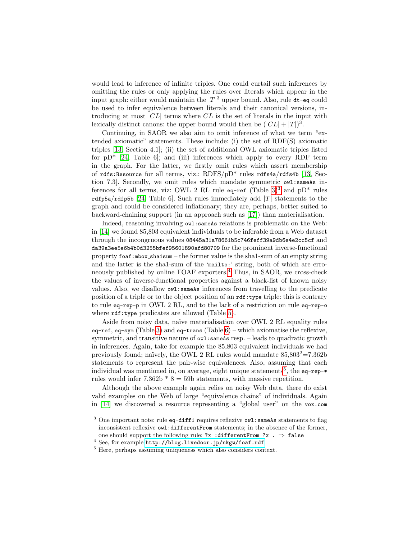would lead to inference of infinite triples. One could curtail such inferences by omitting the rules or only applying the rules over literals which appear in the input graph: either would maintain the  $|T|^3$  upper bound. Also, rule dt-eq could be used to infer equivalence between literals and their canonical versions, introducing at most  $|CL|$  terms where  $CL$  is the set of literals in the input with lexically distinct canons: the upper bound would then be  $(|CL| + |T|)^3$ .

Continuing, in SAOR we also aim to omit inference of what we term "extended axiomatic" statements. These include: (i) the set of RDF(S) axiomatic triples [\[13,](#page-11-8) Section 4.1]; (ii) the set of additional OWL axiomatic triples listed for  $pD^*$  [\[24,](#page-11-4) Table 6]; and (iii) inferences which apply to every RDF term in the graph. For the latter, we firstly omit rules which assert membership of rdfs:Resource for all terms, viz.: RDFS/pD\* rules rdfs4a/rdfs4b [\[13,](#page-11-8) Section 7.3. Secondly, we omit rules which mandate symmetric owl:sameAs inferences for all terms, viz: OWL 2 RL rule  $eq$ -ref (Table [3\)](#page-13-0)<sup>[3](#page-3-0)</sup> and pD<sup>\*</sup> rules rdfp5a/rdfp5b [\[24,](#page-11-4) Table 6]. Such rules immediately add  $|T|$  statements to the graph and could be considered inflationary; they are, perhaps, better suited to backward-chaining support (in an approach such as [\[17\]](#page-11-10)) than materialisation.

Indeed, reasoning involving owl: same As relations is problematic on the Web: in [\[14\]](#page-11-11) we found 85,803 equivalent individuals to be inferable from a Web dataset through the incongruous values 08445a31a78661b5c746feff39a9db6e4e2cc5cf and da39a3ee5e6b4b0d3255bfef95601890afd80709 for the prominent inverse-functional property foaf:mbox sha1sum – the former value is the sha1-sum of an empty string and the latter is the sha1-sum of the 'mailto:' string, both of which are erroneously published by online FOAF exporters.[4](#page-3-1) Thus, in SAOR, we cross-check the values of inverse-functional properties against a black-list of known noisy values. Also, we disallow owl: sameAs inferences from travelling to the predicate position of a triple or to the object position of an  $\text{rdf:type}$  triple: this is contrary to rule eq-rep-p in OWL 2 RL, and to the lack of a restriction on rule eq-rep-o where  $\texttt{rdf:type}$  predicates are allowed (Table [5\)](#page-13-1).

Aside from noisy data, naïve materialisation over OWL 2 RL equality rules eq-ref, eq-sym (Table [3\)](#page-13-0) and eq-trans (Table  $6$ ) – which axiomatise the reflexive, symmetric, and transitive nature of  $\alpha$ 1: sameAs resp. – leads to quadratic growth in inferences. Again, take for example the 85,803 equivalent individuals we had previously found; naïvely, the OWL 2 RL rules would mandate  $85,803^2=7.362b$ statements to represent the pair-wise equivalences. Also, assuming that each individual was mentioned in, on average, eight unique statements<sup>[5](#page-3-2)</sup>, the eq-rep-\* rules would infer 7.362b  $* 8 = 59b$  statements, with massive repetition.

Although the above example again relies on noisy Web data, there do exist valid examples on the Web of large "equivalence chains" of individuals. Again in [\[14\]](#page-11-11) we discovered a resource representing a "global user" on the vox.com

<span id="page-3-0"></span> $3$  One important note: rule eq-diff1 requires reflexive owl: sameAs statements to flag inconsistent reflexive owl:differentFrom statements; in the absence of the former, one should support the following rule: ?x :differentFrom ?x .  $\Rightarrow$  false

<span id="page-3-1"></span> $^4$  See, for example <code><http://blog.livedoor.jp/nkgw/foaf.rdf></code>

<span id="page-3-2"></span><sup>5</sup> Here, perhaps assuming uniqueness which also considers context.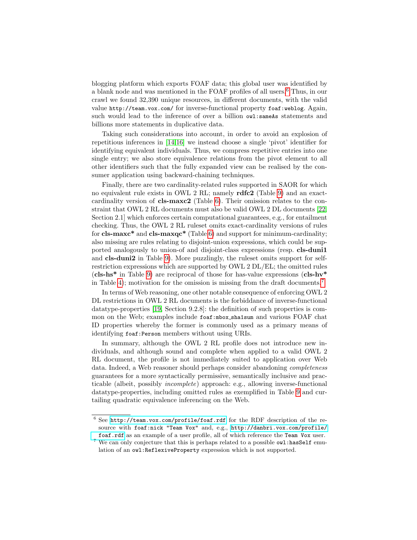blogging platform which exports FOAF data; this global user was identified by a blank node and was mentioned in the FOAF profiles of all users.[6](#page-4-0) Thus, in our crawl we found 32,390 unique resources, in different documents, with the valid value http://team.vox.com/ for inverse-functional property foaf:weblog. Again, such would lead to the inference of over a billion owl:sameAs statements and billions more statements in duplicative data.

Taking such considerations into account, in order to avoid an explosion of repetitious inferences in [\[14,](#page-11-11)[16\]](#page-11-3) we instead choose a single 'pivot' identifier for identifying equivalent individuals. Thus, we compress repetitive entries into one single entry; we also store equivalence relations from the pivot element to all other identifiers such that the fully expanded view can be realised by the consumer application using backward-chaining techniques.

Finally, there are two cardinality-related rules supported in SAOR for which no equivalent rule exists in OWL 2 RL; namely rdfc2 (Table [9\)](#page-14-1) and an exactcardinality version of cls-maxc2 (Table [6\)](#page-14-0). Their omission relates to the constraint that OWL 2 RL documents must also be valid OWL 2 DL documents [\[22,](#page-11-12) Section 2.1] which enforces certain computational guarantees, e.g., for entailment checking. Thus, the OWL 2 RL ruleset omits exact-cardinality versions of rules for cls-maxc<sup>\*</sup> and cls-maxqc<sup>\*</sup> (Table [6\)](#page-14-0) and support for minimum-cardinality; also missing are rules relating to disjoint-union expressions, which could be supported analogously to union-of and disjoint-class expressions (resp. cls-duni1 and cls-duni2 in Table [9\)](#page-14-1). More puzzlingly, the ruleset omits support for selfrestriction expressions which are supported by OWL 2 DL/EL; the omitted rules  $(cls-hs*$  in Table [9\)](#page-14-1) are reciprocal of those for has-value expressions  $(cls-hv*$ in Table [4\)](#page-13-2); motivation for the omission is missing from the draft documents.[7](#page-4-1)

In terms of Web reasoning, one other notable consequence of enforcing OWL 2 DL restrictions in OWL 2 RL documents is the forbiddance of inverse-functional datatype-properties [\[19,](#page-11-13) Section 9.2.8]: the definition of such properties is common on the Web; examples include foaf:mbox sha1sum and various FOAF chat ID properties whereby the former is commonly used as a primary means of identifying foaf:Person members without using URIs.

In summary, although the OWL 2 RL profile does not introduce new individuals, and although sound and complete when applied to a valid OWL 2 RL document, the profile is not immediately suited to application over Web data. Indeed, a Web reasoner should perhaps consider abandoning completeness guarantees for a more syntactically permissive, semantically inclusive and practicable (albeit, possibly incomplete) approach: e.g., allowing inverse-functional datatype-properties, including omitted rules as exemplified in Table [9](#page-14-1) and curtailing quadratic equivalence inferencing on the Web.

<span id="page-4-0"></span> $6$  See <http://team.vox.com/profile/foaf.rdf> for the RDF description of the resource with foaf:nick "Team Vox" and, e.g., [http://danbri.vox.com/profile/](http://danbri.vox.com/profile/foaf.rdf) [foaf.rdf](http://danbri.vox.com/profile/foaf.rdf) as an example of a user profile, all of which reference the Team Vox user.

<span id="page-4-1"></span> $^7$  We can only conjecture that this is perhaps related to a possible  ${\tt owl:hasSelf}$  emulation of an owl:ReflexiveProperty expression which is not supported.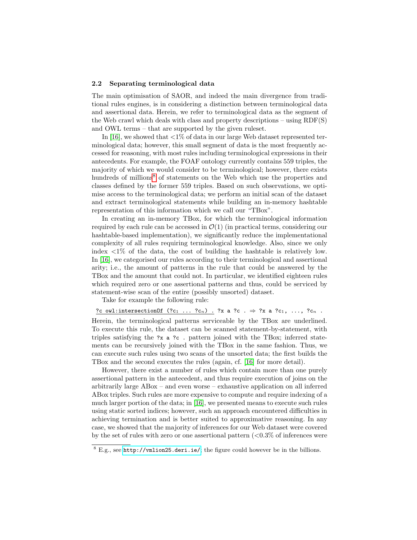#### 2.2 Separating terminological data

The main optimisation of SAOR, and indeed the main divergence from traditional rules engines, is in considering a distinction between terminological data and assertional data. Herein, we refer to terminological data as the segment of the Web crawl which deals with class and property descriptions – using RDF(S) and OWL terms – that are supported by the given ruleset.

In [\[16\]](#page-11-3), we showed that  $\langle 1\%$  of data in our large Web dataset represented terminological data; however, this small segment of data is the most frequently accessed for reasoning, with most rules including terminological expressions in their antecedents. For example, the FOAF ontology currently contains 559 triples, the majority of which we would consider to be terminological; however, there exists hundreds of millions<sup>[8](#page-5-0)</sup> of statements on the Web which use the properties and classes defined by the former 559 triples. Based on such observations, we optimise access to the terminological data; we perform an initial scan of the dataset and extract terminological statements while building an in-memory hashtable representation of this information which we call our "TBox".

In creating an in-memory TBox, for which the terminological information required by each rule can be accessed in  $\mathcal{O}(1)$  (in practical terms, considering our hashtable-based implementation), we significantly reduce the implementational complexity of all rules requiring terminological knowledge. Also, since we only index  $\langle 1\% \rangle$  of the data, the cost of building the hashtable is relatively low. In [\[16\]](#page-11-3), we categorised our rules according to their terminological and assertional arity; i.e., the amount of patterns in the rule that could be answered by the TBox and the amount that could not. In particular, we identified eighteen rules which required zero or one assertional patterns and thus, could be serviced by statement-wise scan of the entire (possibly unsorted) dataset.

Take for example the following rule:

?c owl:intersectionOf  $(?c_1 \ldots ?c_n)$  . ?x a ?c .  $\Rightarrow$  ?x a ?c<sub>1</sub>, ..., ?c<sub>n</sub>.

Herein, the terminological patterns serviceable by the TBox are underlined. To execute this rule, the dataset can be scanned statement-by-statement, with triples satisfying the ?x a ?c . pattern joined with the TBox; inferred statements can be recursively joined with the TBox in the same fashion. Thus, we can execute such rules using two scans of the unsorted data; the first builds the TBox and the second executes the rules (again, cf. [\[16\]](#page-11-3) for more detail).

However, there exist a number of rules which contain more than one purely assertional pattern in the antecedent, and thus require execution of joins on the arbitrarily large ABox – and even worse – exhaustive application on all inferred ABox triples. Such rules are more expensive to compute and require indexing of a much larger portion of the data; in [\[16\]](#page-11-3), we presented means to execute such rules using static sorted indices; however, such an approach encountered difficulties in achieving termination and is better suited to approximative reasoning. In any case, we showed that the majority of inferences for our Web dataset were covered by the set of rules with zero or one assertional pattern  $(<0.3\%$  of inferences were

<span id="page-5-0"></span><sup>8</sup> E.g., see <http://vmlion25.deri.ie/>; the figure could however be in the billions.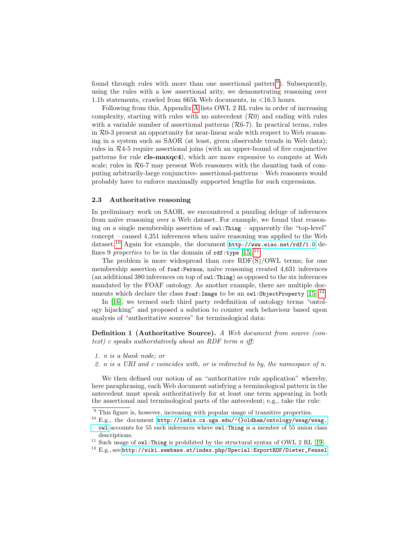found through rules with more than one assertional pattern<sup>[9](#page-6-0)</sup>). Subsequently, using the rules with a low assertional arity, we demonstrating reasoning over 1.1b statements, crawled from 665k Web documents, in <16.5 hours.

Following from this, Appendix [A](#page-12-0) lists OWL 2 RL rules in order of increasing complexity, starting with rules with no antecedent  $(\mathcal{R}0)$  and ending with rules with a variable number of assertional patterns  $(R6-7)$ . In practical terms, rules in R0-3 present an opportunity for near-linear scale with respect to Web reasoning in a system such as SAOR (at least, given observable trends in Web data); rules in  $R<sub>4-5</sub>$  require assertional joins (with an upper-bound of five conjunctive patterns for rule cls-maxqc4), which are more expensive to compute at Web scale; rules in  $R6-7$  may present Web reasoners with the daunting task of computing arbitrarily-large conjunctive- assertional-patterns – Web reasoners would probably have to enforce maximally supported lengths for such expressions.

#### 2.3 Authoritative reasoning

In preliminary work on SAOR, we encountered a puzzling deluge of inferences from naïve reasoning over a Web dataset. For example, we found that reasoning on a single membership assertion of owl:Thing – apparently the "top-level"  $\text{concept}$  – caused 4,251 inferences when naïve reasoning was applied to the Web dataset.<sup>[10](#page-6-1)</sup> Again for example, the document <http://www.eiao.net/rdf/1.0> defines 9 properties to be in the domain of  $\texttt{rdf:type}$  [\[15\]](#page-11-2).<sup>[11](#page-6-2)</sup>

The problem is more widespread than core RDF(S)/OWL terms; for one membership assertion of foaf:Person, naïve reasoning created 4,631 inferences (an additional 380 inferences on top of owl:Thing) as opposed to the six inferences mandated by the FOAF ontology. As another example, there are multiple doc-uments which declare the class foaf: Image to be an owl: ObjectProperty [\[15\]](#page-11-2).<sup>[12](#page-6-3)</sup>

In [\[16\]](#page-11-3), we termed such third party redefinition of ontology terms "ontology hijacking" and proposed a solution to counter such behaviour based upon analysis of "authoritative sources" for terminological data:

Definition 1 (Authoritative Source). A Web document from source (context) c speaks authoritatively about an RDF term n iff:

- 1. n is a blank node; or
- 2. n is a URI and c coincides with, or is redirected to by, the namespace of n.

We then defined our notion of an "authoritative rule application" whereby, here paraphrasing, each Web document satisfying a terminological pattern in the antecedent must speak authoritatively for at least one term appearing in both the assertional and terminological parts of the antecedent; e.g., take the rule:

- <span id="page-6-2"></span> $11$  Such usage of owl:Thing is prohibited by the structural syntax of OWL 2 RL [\[19\]](#page-11-13).
- <span id="page-6-3"></span><sup>12</sup> E.g., see [http://wiki.sembase.at/index.php/Special:ExportRDF/Dieter\\_Fensel](http://wiki.sembase.at/index.php/Special:ExportRDF/Dieter_Fensel)

<span id="page-6-0"></span><sup>&</sup>lt;sup>9</sup> This figure is, however, increasing with popular usage of transitive properties.

<span id="page-6-1"></span> $^{10}$  E.g., the document [http://lsdis.cs.uga.edu/~{}oldham/ontology/wsag/wsag.](http://lsdis.cs.uga.edu/~{}oldham/ontology/wsag/wsag.owl) [owl](http://lsdis.cs.uga.edu/~{}oldham/ontology/wsag/wsag.owl) accounts for 55 such inferences where owl:Thing is a member of 55 union class descriptions.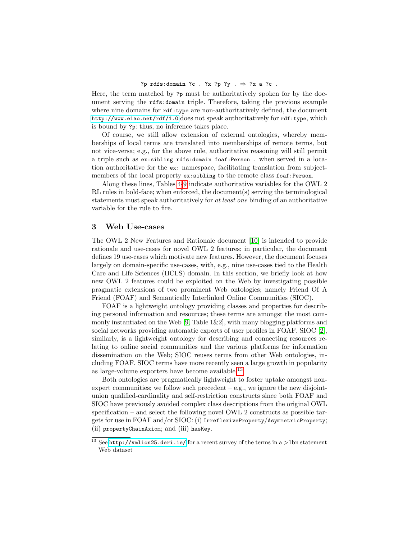#### ?p rdfs:domain ?c . ?x ?p ?y .  $\Rightarrow$  ?x a ?c .

Here, the term matched by ?p must be authoritatively spoken for by the document serving the rdfs:domain triple. Therefore, taking the previous example where nine domains for  $\texttt{rdf:type}$  are non-authoritatively defined, the document <http://www.eiao.net/rdf/1.0> does not speak authoritatively for rdf:type, which is bound by ?p: thus, no inference takes place.

Of course, we still allow extension of external ontologies, whereby memberships of local terms are translated into memberships of remote terms, but not vice-versa; e.g., for the above rule, authoritative reasoning will still permit a triple such as ex:sibling rdfs:domain foaf:Person . when served in a location authoritative for the ex: namespace, facilitating translation from subjectmembers of the local property ex:sibling to the remote class foaf:Person.

Along these lines, Tables [4-](#page-13-2)[9](#page-14-1) indicate authoritative variables for the OWL 2 RL rules in bold-face; when enforced, the document(s) serving the terminological statements must speak authoritatively for at least one binding of an authoritative variable for the rule to fire.

### 3 Web Use-cases

The OWL 2 New Features and Rationale document [\[10\]](#page-11-14) is intended to provide rationale and use-cases for novel OWL 2 features; in particular, the document defines 19 use-cases which motivate new features. However, the document focuses largely on domain-specific use-cases, with, e.g., nine use-cases tied to the Health Care and Life Sciences (HCLS) domain. In this section, we briefly look at how new OWL 2 features could be exploited on the Web by investigating possible pragmatic extensions of two prominent Web ontologies; namely Friend Of A Friend (FOAF) and Semantically Interlinked Online Communities (SIOC).

FOAF is a lightweight ontology providing classes and properties for describing personal information and resources; these terms are amongst the most com-monly instantiated on the Web [\[9,](#page-11-0) Table  $1\&2$ ], with many blogging platforms and social networks providing automatic exports of user profiles in FOAF. SIOC [\[2\]](#page-10-3), similarly, is a lightweight ontology for describing and connecting resources relating to online social communities and the various platforms for information dissemination on the Web; SIOC reuses terms from other Web ontologies, including FOAF. SIOC terms have more recently seen a large growth in popularity as large-volume exporters have become available.[13](#page-7-0)

Both ontologies are pragmatically lightweight to foster uptake amongst nonexpert communities; we follow such precedent  $-e.g.,$  we ignore the new disjointunion qualified-cardinality and self-restriction constructs since both FOAF and SIOC have previously avoided complex class descriptions from the original OWL specification – and select the following novel OWL 2 constructs as possible targets for use in FOAF and/or SIOC: (i) IrreflexiveProperty/AsymmetricProperty; (ii) propertyChainAxiom; and (iii) hasKey.

<span id="page-7-0"></span><sup>&</sup>lt;sup>13</sup> See <http://vmlion25.deri.ie/> for a recent survey of the terms in a  $>$ 1bn statement Web dataset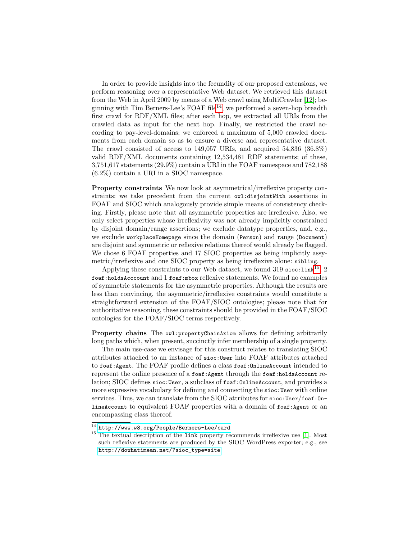In order to provide insights into the fecundity of our proposed extensions, we perform reasoning over a representative Web dataset. We retrieved this dataset from the Web in April 2009 by means of a Web crawl using MultiCrawler [\[12\]](#page-11-15); be-ginning with Tim Berners-Lee's FOAF file<sup>[14](#page-8-0)</sup>, we performed a seven-hop breadth first crawl for RDF/XML files; after each hop, we extracted all URIs from the crawled data as input for the next hop. Finally, we restricted the crawl according to pay-level-domains; we enforced a maximum of 5,000 crawled documents from each domain so as to ensure a diverse and representative dataset. The crawl consisted of access to 149,057 URIs, and acquired 54,836 (36.8%) valid RDF/XML documents containing 12,534,481 RDF statements; of these, 3,751,617 statements (29.9%) contain a URI in the FOAF namespace and 782,188 (6.2%) contain a URI in a SIOC namespace.

Property constraints We now look at asymmetrical/irreflexive property constraints: we take precedent from the current owl:disjointWith assertions in FOAF and SIOC which analogously provide simple means of consistency checking. Firstly, please note that all asymmetric properties are irreflexive. Also, we only select properties whose irreflexivity was not already implicitly constrained by disjoint domain/range assertions; we exclude datatype properties, and, e.g., we exclude workplaceHomepage since the domain (Person) and range (Document) are disjoint and symmetric or reflexive relations thereof would already be flagged. We chose 6 FOAF properties and 17 SIOC properties as being implicitly assymetric/irreflexive and one SIOC property as being irreflexive alone: sibling.

Applying these constraints to our Web dataset, we found 319 sioc: $\text{link}^{15}$  $\text{link}^{15}$  $\text{link}^{15}$ , 2 foaf:holdsAcccount and 1 foaf:mbox reflexive statements. We found no examples of symmetric statements for the asymmetric properties. Although the results are less than convincing, the asymmetric/irreflexive constraints would constitute a straightforward extension of the FOAF/SIOC ontologies; please note that for authoritative reasoning, these constraints should be provided in the FOAF/SIOC ontologies for the FOAF/SIOC terms respectively.

Property chains The owl: propertyChainAxiom allows for defining arbitrarily long paths which, when present, succinctly infer membership of a single property.

The main use-case we envisage for this construct relates to translating SIOC attributes attached to an instance of sioc:User into FOAF attributes attached to foaf:Agent. The FOAF profile defines a class foaf:OnlineAccount intended to represent the online presence of a foaf:Agent through the foaf:holdsAccount relation; SIOC defines sioc:User, a subclass of foaf:OnlineAccount, and provides a more expressive vocabulary for defining and connecting the sioc:User with online services. Thus, we can translate from the SIOC attributes for sioc:User/foaf:0nlineAccount to equivalent FOAF properties with a domain of foaf:Agent or an encompassing class thereof.

<span id="page-8-0"></span> $14$  <http://www.w3.org/People/Berners-Lee/card>

<span id="page-8-1"></span><sup>&</sup>lt;sup>15</sup> The textual description of the link property recommends irreflexive use [\[1\]](#page-10-2). Most such reflexive statements are produced by the SIOC WordPress exporter; e.g., see [http://dowhatimean.net/?sioc\\_type=site](http://dowhatimean.net/?sioc_type=site)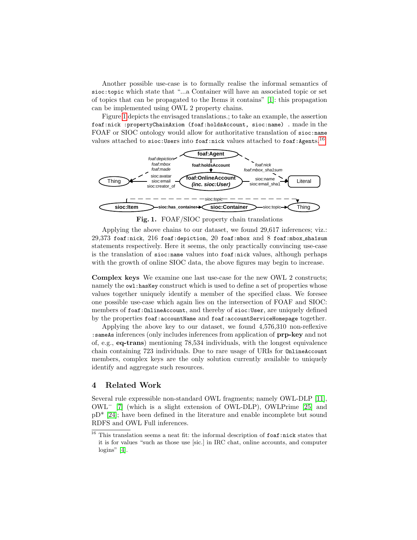Another possible use-case is to formally realise the informal semantics of sioc:topic which state that "...a Container will have an associated topic or set of topics that can be propagated to the Items it contains" [\[1\]](#page-10-2): this propagation can be implemented using OWL 2 property chains.

Figure [1](#page-9-0) depicts the envisaged translations.; to take an example, the assertion foaf:nick :propertyChainAxiom (foaf:holdsAccount, sioc:name) . made in the FOAF or SIOC ontology would allow for authoritative translation of sioc:name values attached to sioc:Users into foaf:nick values attached to foaf:Agents.<sup>[16](#page-9-1)</sup>



<span id="page-9-0"></span>Fig. 1. FOAF/SIOC property chain translations

Applying the above chains to our dataset, we found 29,617 inferences; viz.: 29,373 foaf:nick, 216 foaf:depiction, 20 foaf:mbox and 8 foaf:mbox sha1sum statements respectively. Here it seems, the only practically convincing use-case is the translation of sioc:name values into foaf:nick values, although perhaps with the growth of online SIOC data, the above figures may begin to increase.

Complex keys We examine one last use-case for the new OWL 2 constructs; namely the owl:hasKey construct which is used to define a set of properties whose values together uniquely identify a member of the specified class. We foresee one possible use-case which again lies on the intersection of FOAF and SIOC: members of foaf:OnlineAccount, and thereby of sioc:User, are uniquely defined by the properties foaf:accountName and foaf:accountServiceHomepage together.

Applying the above key to our dataset, we found 4,576,310 non-reflexive :sameAs inferences (only includes inferences from application of prp-key and not of, e.g., eq-trans) mentioning 78,534 individuals, with the longest equivalence chain containing 723 individuals. Due to rare usage of URIs for OnlineAccount members, complex keys are the only solution currently available to uniquely identify and aggregate such resources.

# 4 Related Work

Several rule expressible non-standard OWL fragments; namely OWL-DLP [\[11\]](#page-11-6), OWL<sup>−</sup> [\[7\]](#page-11-16) (which is a slight extension of OWL-DLP), OWLPrime [\[25\]](#page-11-17) and pD\* [\[24\]](#page-11-4); have been defined in the literature and enable incomplete but sound RDFS and OWL Full inferences.

<span id="page-9-1"></span> $^{16}$  This translation seems a neat fit: the informal description of  ${\tt foaf:nick}$  states that it is for values "such as those use [sic.] in IRC chat, online accounts, and computer logins" [\[4\]](#page-10-1).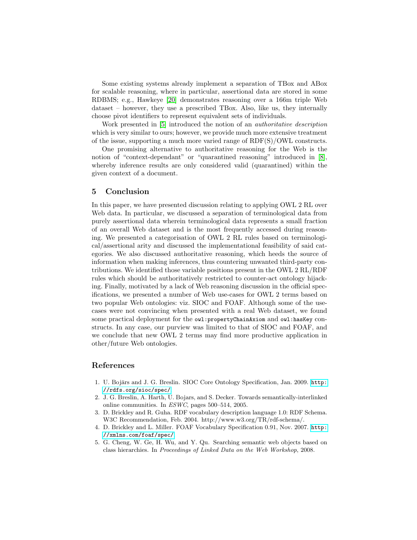Some existing systems already implement a separation of TBox and ABox for scalable reasoning, where in particular, assertional data are stored in some RDBMS; e.g., Hawkeye [\[20\]](#page-11-18) demonstrates reasoning over a 166m triple Web dataset – however, they use a prescribed TBox. Also, like us, they internally choose pivot identifiers to represent equivalent sets of individuals.

Work presented in [\[5\]](#page-10-4) introduced the notion of an *authoritative description* which is very similar to ours; however, we provide much more extensive treatment of the issue, supporting a much more varied range of RDF(S)/OWL constructs.

One promising alternative to authoritative reasoning for the Web is the notion of "context-dependant" or "quarantined reasoning" introduced in [\[8\]](#page-11-19), whereby inference results are only considered valid (quarantined) within the given context of a document.

### 5 Conclusion

In this paper, we have presented discussion relating to applying OWL 2 RL over Web data. In particular, we discussed a separation of terminological data from purely assertional data wherein terminological data represents a small fraction of an overall Web dataset and is the most frequently accessed during reasoning. We presented a categorisation of OWL 2 RL rules based on terminological/assertional arity and discussed the implementational feasibility of said categories. We also discussed authoritative reasoning, which heeds the source of information when making inferences, thus countering unwanted third-party contributions. We identified those variable positions present in the OWL 2 RL/RDF rules which should be authoritatively restricted to counter-act ontology hijacking. Finally, motivated by a lack of Web reasoning discussion in the official specifications, we presented a number of Web use-cases for OWL 2 terms based on two popular Web ontologies: viz. SIOC and FOAF. Although some of the usecases were not convincing when presented with a real Web dataset, we found some practical deployment for the owl: propertyChainAxiom and owl:hasKey constructs. In any case, our purview was limited to that of SIOC and FOAF, and we conclude that new OWL 2 terms may find more productive application in other/future Web ontologies.

# References

- <span id="page-10-2"></span>1. U. Bojārs and J. G. Breslin. SIOC Core Ontology Specification, Jan. 2009. [http:](http://rdfs.org/sioc/spec/) [//rdfs.org/sioc/spec/](http://rdfs.org/sioc/spec/).
- <span id="page-10-3"></span>2. J. G. Breslin, A. Harth, U. Bojars, and S. Decker. Towards semantically-interlinked online communities. In ESWC, pages 500–514, 2005.
- <span id="page-10-0"></span>3. D. Brickley and R. Guha. RDF vocabulary description language 1.0: RDF Schema. W3C Recommendation, Feb. 2004. http://www.w3.org/TR/rdf-schema/.
- <span id="page-10-1"></span>4. D. Brickley and L. Miller. FOAF Vocabulary Specification 0.91, Nov. 2007. [http:](http://xmlns.com/foaf/spec/) [//xmlns.com/foaf/spec/](http://xmlns.com/foaf/spec/).
- <span id="page-10-4"></span>5. G. Cheng, W. Ge, H. Wu, and Y. Qu. Searching semantic web objects based on class hierarchies. In Proceedings of Linked Data on the Web Workshop, 2008.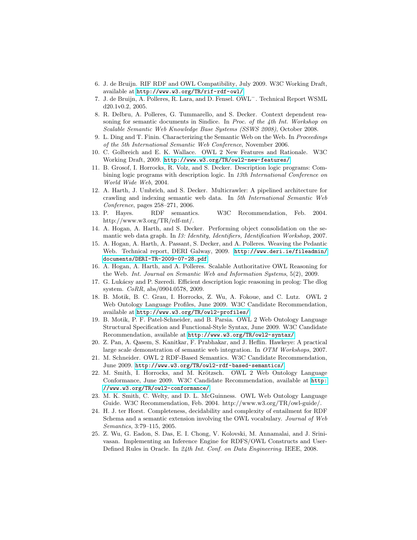- <span id="page-11-9"></span>6. J. de Bruijn. RIF RDF and OWL Compatibility, July 2009. W3C Working Draft, available at <http://www.w3.org/TR/rif-rdf-owl/>.
- <span id="page-11-16"></span>7. J. de Bruijn, A. Polleres, R. Lara, and D. Fensel. OWL<sup>−</sup>. Technical Report WSML d20.1v0.2, 2005.
- <span id="page-11-19"></span>8. R. Delbru, A. Polleres, G. Tummarello, and S. Decker. Context dependent reasoning for semantic documents in Sindice. In Proc. of the 4th Int. Workshop on Scalable Semantic Web Knowledge Base Systems (SSWS 2008), October 2008.
- <span id="page-11-0"></span>9. L. Ding and T. Finin. Characterizing the Semantic Web on the Web. In Proceedings of the 5th International Semantic Web Conference, November 2006.
- <span id="page-11-14"></span>10. C. Golbreich and E. K. Wallace. OWL 2 New Features and Rationale. W3C Working Draft, 2009. <http://www.w3.org/TR/owl2-new-features/>.
- <span id="page-11-6"></span>11. B. Grosof, I. Horrocks, R. Volz, and S. Decker. Description logic programs: Combining logic programs with description logic. In 13th International Conference on World Wide Web, 2004.
- <span id="page-11-15"></span>12. A. Harth, J. Umbrich, and S. Decker. Multicrawler: A pipelined architecture for crawling and indexing semantic web data. In 5th International Semantic Web Conference, pages 258–271, 2006.
- <span id="page-11-8"></span>13. P. Hayes. RDF semantics. W3C Recommendation, Feb. 2004. http://www.w3.org/TR/rdf-mt/.
- <span id="page-11-11"></span>14. A. Hogan, A. Harth, and S. Decker. Performing object consolidation on the semantic web data graph. In I3: Identity, Identifiers, Identification Workshop, 2007.
- <span id="page-11-2"></span>15. A. Hogan, A. Harth, A. Passant, S. Decker, and A. Polleres. Weaving the Pedantic Web. Technical report, DERI Galway, 2009. [http://www.deri.ie/fileadmin/](http://www.deri.ie/fileadmin/documents/DERI-TR-2009-07-28.pdf) [documents/DERI-TR-2009-07-28.pdf](http://www.deri.ie/fileadmin/documents/DERI-TR-2009-07-28.pdf).
- <span id="page-11-3"></span>16. A. Hogan, A. Harth, and A. Polleres. Scalable Authoritative OWL Reasoning for the Web. Int. Journal on Semantic Web and Information Systems, 5(2), 2009.
- <span id="page-11-10"></span>17. G. Lukácsy and P. Szeredi. Efficient description logic reasoning in prolog: The dlog system. CoRR, abs/0904.0578, 2009.
- <span id="page-11-5"></span>18. B. Motik, B. C. Grau, I. Horrocks, Z. Wu, A. Fokoue, and C. Lutz. OWL 2 Web Ontology Language Profiles, June 2009. W3C Candidate Recommendation, available at <http://www.w3.org/TR/owl2-profiles/>.
- <span id="page-11-13"></span>19. B. Motik, P. F. Patel-Schneider, and B. Parsia. OWL 2 Web Ontology Language Structural Specification and Functional-Style Syntax, June 2009. W3C Candidate Recommendation, available at <http://www.w3.org/TR/owl2-syntax/>.
- <span id="page-11-18"></span>20. Z. Pan, A. Qasem, S. Kanitkar, F. Prabhakar, and J. Heflin. Hawkeye: A practical large scale demonstration of semantic web integration. In OTM Workshops, 2007.
- <span id="page-11-7"></span>21. M. Schneider. OWL 2 RDF-Based Semantics. W3C Candidate Recommendation, June 2009. <http://www.w3.org/TR/owl2-rdf-based-semantics/>.
- <span id="page-11-12"></span>22. M. Smith, I. Horrocks, and M. Krötzsch. OWL 2 Web Ontology Language Conformance, June 2009. W3C Candidate Recommendation, available at [http:](http://www.w3.org/TR/owl2-conformance/) [//www.w3.org/TR/owl2-conformance/](http://www.w3.org/TR/owl2-conformance/).
- <span id="page-11-1"></span>23. M. K. Smith, C. Welty, and D. L. McGuinness. OWL Web Ontology Language Guide. W3C Recommendation, Feb. 2004. http://www.w3.org/TR/owl-guide/.
- <span id="page-11-4"></span>24. H. J. ter Horst. Completeness, decidability and complexity of entailment for RDF Schema and a semantic extension involving the OWL vocabulary. Journal of Web Semantics, 3:79–115, 2005.
- <span id="page-11-17"></span>25. Z. Wu, G. Eadon, S. Das, E. I. Chong, V. Kolovski, M. Annamalai, and J. Srinivasan. Implementing an Inference Engine for RDFS/OWL Constructs and User-Defined Rules in Oracle. In 24th Int. Conf. on Data Engineering. IEEE, 2008.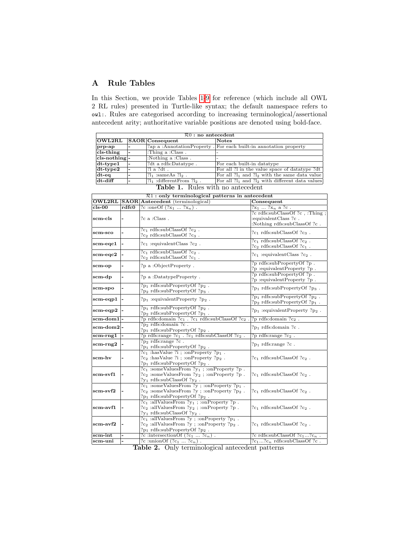# <span id="page-12-0"></span>A Rule Tables

In this Section, we provide Tables [1](#page-12-1)[-9](#page-14-1) for reference (which include all OWL 2 RL rules) presented in Turtle-like syntax; the default namespace refers to owl:. Rules are categorised according to increasing terminological/assertional antecedent arity; authoritative variable positions are denoted using bold-face.

| $\mathcal{R}0$ : no antecedent |  |                                  |                                                                   |  |
|--------------------------------|--|----------------------------------|-------------------------------------------------------------------|--|
| $\overline{\rm lOWL2RL}$       |  | <b>SAOR</b> Consequent           | <b>Notes</b>                                                      |  |
| prp-ap                         |  |                                  | ?ap a :AnnotationProperty . For each built-in annotation property |  |
| cls-thing                      |  | : Thing a : Class.               |                                                                   |  |
| $cls\n-nothing -$              |  | :Nothing a :Class.               |                                                                   |  |
| $ dt$ -type $1$                |  | ?dt a rdfs:Datatype.             | For each built-in datatype                                        |  |
| $ dt$ -type $2$                |  | $?1a$ $?dt$ .                    | For all ?l in the value space of data type ?dt                    |  |
| $dt - eq$                      |  | $?l_1$ :sameAs $?l_2$ .          | For all $2l_1$ and $2l_2$ with the same data value                |  |
| dt-diff                        |  | $?l_1$ : different From $?l_2$ . | For all $2l_1$ and $2l_2$ with different data values              |  |

<span id="page-12-1"></span>Table 1. Rules with no antecedent

|            |       | $R1:$ only terminological patterns in antecedent                                                                                                           |                                                                                         |
|------------|-------|------------------------------------------------------------------------------------------------------------------------------------------------------------|-----------------------------------------------------------------------------------------|
|            |       | <b>OWL2RL SAOR Antecedent</b> (terminological)                                                                                                             | Consequent                                                                              |
| $cls-00$   | rdfc0 | ?c :oneOf $(?x_1  ?x_n)$ .                                                                                                                                 | $?x_1  ?x_n$ a ?c.                                                                      |
| scm-cls    |       | $?c$ a : Class.                                                                                                                                            | ?c rdfs:subClassOf ?c, :Thing;<br>:equivalentClass ?c.<br>: Nothing rdfs:subClassOf ?c. |
| scm-sco    |       | $?c1 rdfs:subClassOf ?c2$ .<br>$?c_2$ rdfs:subClassOf $?c_3$ .                                                                                             | $?c_1$ rdfs:subClassOf $?c_3$ .                                                         |
| scm-eqc1   |       | $?c_1$ :equivalentClass $?c_2$ .                                                                                                                           | $?c_1$ rdfs:subClassOf $?c_2$ .<br>$?c2 rdfs:subClassOf ?c1$ .                          |
| scm-eqc2   |       | $?c1 rdfs:subClassOf ?c2$ .<br>$?c2 rdfs:subClassOf ?c1$ .                                                                                                 | $?c_1$ :equivalentClass $?c_2$ .                                                        |
| scm-op     |       | ?p a :ObjectProperty.                                                                                                                                      | ?p rdfs:subPropertyOf ?p.<br>?p:equivalentProperty?p.                                   |
| scm-dp     |       | ?p a :DatatypeProperty.                                                                                                                                    | ?p rdfs:subPropertyOf ?p.<br>?p:equivalentProperty?p.                                   |
| scm-spo    |       | $?p_1$ rdfs:subPropertyOf $?p_2$ .<br>$?p_2$ rdfs:subPropertyOf $?p_3$ .                                                                                   | $?p_1$ rdfs:subPropertyOf $?p_3$ .                                                      |
| scm-eqp1   |       | $?p_1:equivalentProperty ?p_2.$                                                                                                                            | $?p_1$ rdfs:subPropertyOf $?p_2$ .<br>$?p_2$ rdfs:subPropertyOf $?p_1$ .                |
| scm-eqp2   |       | $?p_1$ rdfs:subPropertyOf $?p_2$ .<br>$?p_2$ rdfs:subPropertyOf $?p_1$ .                                                                                   | $?p_1$ :equivalentProperty $?p_2$ .                                                     |
| scm-dom1   |       | $?p$ rdfs:<br>domain $?c_1$ . $?c_1$ rdfs:subClassOf<br>$?c_2$                                                                                             | ?p rdfs:domain ?c $_2$ .                                                                |
| scm-dom2 - |       | ?p <sub>2</sub> rdfs:domain ?c.<br>$?p_1$ rdfs:subPropertyOf $?p_2$ .                                                                                      | $?p_1$ rdfs: domain $?c$ .                                                              |
| scm-rng1   |       | ?<br>p rdfs:range ?c^1 . ?c^1 rdfs:subClassOf ?c^2 .                                                                                                       | ?p rdfs:range $?c2$ .                                                                   |
| $scm-rng2$ |       | ?p <sub>2</sub> rdfs:range ?c.<br>$?p_1$ rdfs:subPropertyOf $?p_2$ .                                                                                       | $?p_1$ rdfs: range $?c$ .                                                               |
| scm-hv     |       | $?c_1:$ hasValue ?i ; :onProperty ?p <sub>1</sub> .<br>$?c_2$ : has Value ?i ; : on Property ?p <sub>2</sub> .<br>$?p_1$ rdfs:subPropertyOf $?p_2$ .       | $?c1$ rdfs:subClassOf $?c2$ .                                                           |
| scm-svf1   |       | $?c_1$ :someValuesFrom $?y_1$ ; :onProperty $?p$ .<br>$?c_2$ :someValuesFrom $?y_2$ ; :onProperty ?p.<br>$?y_1$ rdfs:subClassOf $?y_2$ .                   | $?c1$ rdfs:subClassOf $?c2$ .                                                           |
| scm-svf2   |       | $?c_1$ :someValuesFrom ?y; :onProperty ?p <sub>1</sub> .<br>$?c_2$ :someValuesFrom ?y; :onProperty ?p <sub>2</sub> .<br>$?p_1$ rdfs:subPropertyOf $?p_2$ . | $?c1$ rdfs:subClassOf $?c2$ .                                                           |
| scm-avf1   |       | $?c_1:allValuesFrom ?y_1:onProperty ?p.$<br>$?c2$ :allValuesFrom $?y2$ ; :onProperty $?p$ .<br>$?y_1$ rdfs:subClassOf $?y_2$ .                             | $?c1$ rdfs:subClassOf $?c2$ .                                                           |
| scm-avf2   |       | $?c_1:allValuesFrom ?y$ ; :on<br>Property $?p_1$ .<br>$?c2$ :allValuesFrom ?y; :onProperty ?p <sub>2</sub> .<br>$?p_1$ rdfs:subPropertyOf $?p_2$ .         | $?c1$ rdfs:subClassOf $?c2$ .                                                           |
| scm-int    |       | ?c :intersection Of $(2c_1 \ldots 2c_n)$ .                                                                                                                 | ?c rdfs:subClassOf ?c <sub>1</sub> ?c <sub>n</sub> .                                    |
| scm-uni    |       | ?c :unionOf $($ ?c <sub>1</sub> ?c <sub>n</sub> $)$ .                                                                                                      | $?c_1?c_n$ rdfs:subClassOf ?c.                                                          |
|            |       | $\blacksquare$ 11 $\lozenge$ $\lozenge$ 1 $\blacksquare$ $\blacksquare$                                                                                    | $\cdots$                                                                                |

Table 2. Only terminological antecedent patterns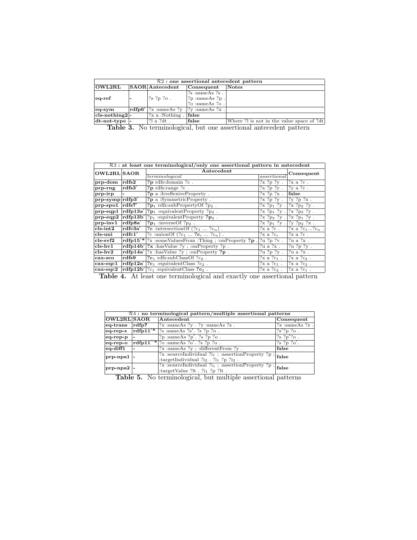| $R2:$ one assertional antecedent pattern |  |                                                                |                                                  |                                             |  |
|------------------------------------------|--|----------------------------------------------------------------|--------------------------------------------------|---------------------------------------------|--|
| OWL2RL                                   |  | <b>SAOR</b> Antecedent                                         | Consequent                                       | Notes                                       |  |
|                                          |  |                                                                | $\frac{2}{5}$ :sameAs $\frac{2}{5}$ .            |                                             |  |
| $ eq-ref $                               |  | ?s ?p ?o.                                                      | ?p :sameAs ?p .                                  |                                             |  |
|                                          |  |                                                                | $?o: \text{sameAs} ?o.$                          |                                             |  |
| $eq-sym$                                 |  |                                                                | $\text{rdfp6}'$  ?x :sameAs ?y . ?y :sameAs ?x . |                                             |  |
| $cls\n-nothing2$ -                       |  | $\left  \mathcal{R} \right $ a :Nothing $\left  \right $ false |                                                  |                                             |  |
| $dt$ -not-type $\vert$ -                 |  | $\mathop{?}\nolimits$ a $\mathop{?}\nolimits$ dt.              | false                                            | Where ? I is not in the value space of ? dt |  |

<span id="page-13-0"></span>Table 3. No terminological, but one assertional antecedent pattern

| $R3$ : at least one terminological/only one assertional pattern in antecedent |                          |                                                                            |                              |                                                                                                                         |  |
|-------------------------------------------------------------------------------|--------------------------|----------------------------------------------------------------------------|------------------------------|-------------------------------------------------------------------------------------------------------------------------|--|
|                                                                               |                          |                                                                            |                              |                                                                                                                         |  |
| <b>OWL2RL SAOR</b>                                                            |                          | Antecedent                                                                 |                              |                                                                                                                         |  |
|                                                                               |                          | termino logical                                                            | assertional                  | Consequent                                                                                                              |  |
| $ $ prp-dom                                                                   | $ {\rm rdfs2} $          | ?p rdfs:domain ?c.                                                         | ?x ?p ?y.                    | $ ?x a ?c$ .                                                                                                            |  |
| prp-rng                                                                       | rdfs3'                   | ?p rdfs:range ?c.                                                          | $?x ?p ?y$ . $?y a ?c$ .     |                                                                                                                         |  |
| $ $ prp-irp                                                                   | $\overline{\phantom{a}}$ | ?p a : IrreflexiveProperty.                                                | $?x ?p ?x$ .                 | false                                                                                                                   |  |
| $ $ prp-symp $ $ rdfp $3'$                                                    |                          | ?p a :SymmetricProperty.                                                   | ?x ?p ?y.                    | $ ?y ?p ?x$ .                                                                                                           |  |
| $ $ prp-spo $1$                                                               | $ {\rm rdfs7}' $         | $?p_1$ rdfs:subPropertyOf $?p_2$ .                                         | $?x ?p_1 ?y.$                | $ ?x ?p_2 ?y$ .                                                                                                         |  |
| $ $ prp-eqp $1$                                                               | $ {\rm rdfp13a}'$        | $?p_1:equivalent Property ?p_2.$                                           | $?x ?p_1 ?y.$                | $\sqrt{?}x$ ?p <sub>2</sub> ?y.                                                                                         |  |
| $ $ prp-eqp $2$                                                               | rdfp13b'                 | $?p_1$ :equivalentProperty $?p_2$ .                                        | $?x ?p_2 ?y . ?x ?p_1 ?y .$  |                                                                                                                         |  |
| $ $ prp-inv1                                                                  | $ {\rm rdfp8a}' $        | $?p_1:$ inverse Of $?p_2$ .                                                | $?x ?p_1 ?y .  ?y ?p_2 ?x .$ |                                                                                                                         |  |
| $ {\rm cls\text{-}int2} $                                                     | rdfc3a'                  | ?c :intersection Of $(?c_1 \ldots ?c_n)$ .                                 | ?x a ?c.                     | $?x a ?c_1?c_n$                                                                                                         |  |
| cls-uni                                                                       | $\mathbf{rdfc1}'$        | ?c :unionOf $(?c_1  ?c_i  ?c_n)$ .                                         | $?x$ a $?c_i$                | ?x a ?c.                                                                                                                |  |
| $ cls-svf2 $                                                                  |                          | $\mathbf{rdfp15}^*$ ?x :someValuesFrom :Thing ; :onProperty ?p.            | ?u ?p ?v.                    | ?u a ?x.                                                                                                                |  |
| $ {\rm cls\text{-}hv1} $                                                      |                          | $\text{rdfp14b}'$ ?x : has Value ?y ; : on Property ?p.                    | ?u a ?x.                     | $\sqrt{?u}$ ?p ?y.                                                                                                      |  |
| $ {\rm cls-hv2} $                                                             |                          | $rdfp14a' ?x: hasValue?y:conProperty?p.$                                   | ?u ?p ?y.                    | ?u a ?x.                                                                                                                |  |
| cax-sco                                                                       | rdfs9                    | $?c1$ rdfs:subClassOf $?c2$ .                                              | $?x a ?c_1.$                 | $\left[ \begin{smallmatrix} 2 \end{smallmatrix} \right]$ x a $\left[ \begin{smallmatrix} 2 \end{smallmatrix} \right]$ . |  |
| $ {\rm cav\text{-}eqc1} $                                                     |                          | $\mathbf{rdfp12a}'$ ? $\mathbf{c}_1$ : equivalent Class ? $\mathbf{c}_2$ . | ? $x$ a ? $c_1$ .            | $?x a ?c2$ .                                                                                                            |  |
| $ {\rm cav\text{-}eqc2} $                                                     |                          | $\lceil \mathbf{rdfp12b}' \rceil$ ? $c_1$ : equivalent Class ? $c_2$ .     | $?x a ?c2$ .                 | $?x a ?c1$ .                                                                                                            |  |

<span id="page-13-2"></span>

| Table 4. At least one terminological and exactly one assertional pattern |  |  |
|--------------------------------------------------------------------------|--|--|
|--------------------------------------------------------------------------|--|--|

| $R4:$ no terminological pattern/multiple assertional patterns |              |                                                                                                                                                              |                      |  |
|---------------------------------------------------------------|--------------|--------------------------------------------------------------------------------------------------------------------------------------------------------------|----------------------|--|
| <b>OWL2RL SAOR</b>                                            |              | Antecedent                                                                                                                                                   | Consequent           |  |
| eq-trans                                                      | rdfp7        | $?x$ :sameAs $?y$ . $?y$ :sameAs $?z$ .                                                                                                                      | $?x$ :sameAs $?z$ .  |  |
| eq-rep-s                                                      |              | $rdfp11'$ $\frac{1}{s}$ : same As $\frac{2s'}{s}$ $\frac{2p}{s}$ $\frac{2p}{s}$ .                                                                            | $\frac{7s'}{2p}$ ?o. |  |
| eq-rep-p                                                      |              | ?p :sameAs ?p'. ?s ?p ?o.                                                                                                                                    | $\frac{2}{5}$ ?p'?o. |  |
| eq-rep-o                                                      |              | $rdfp11''$ ?o :sameAs ?o'. ?s ?p ?o.                                                                                                                         | $\gamma$ s ?p ?o'.   |  |
| eq-diff1                                                      |              | $?x$ :sameAs $?y$ ; :differentFrom $?y$ .                                                                                                                    | false                |  |
| prp-npal-                                                     |              | $\frac{1}{2x}$ :sourceIndividual ?i <sub>1</sub> ; :assertionProperty ?p ; $\left _{\text{false}}\right $<br>:targetIndividual $?i_2$ . $?i_1$ $?p$ $?i_2$ . |                      |  |
| prp-npa2  -<br>$-1$                                           | $\mathbf{r}$ | $\frac{3}{2}$ :sourceIndividual ?i <sub>1</sub> ; :assertionProperty ?p; $ _{\text{false}}$<br>:targetValue ?lt . $?i_1$ ?p ?lt .                            |                      |  |

<span id="page-13-1"></span>Table 5. No terminological, but multiple assertional patterns